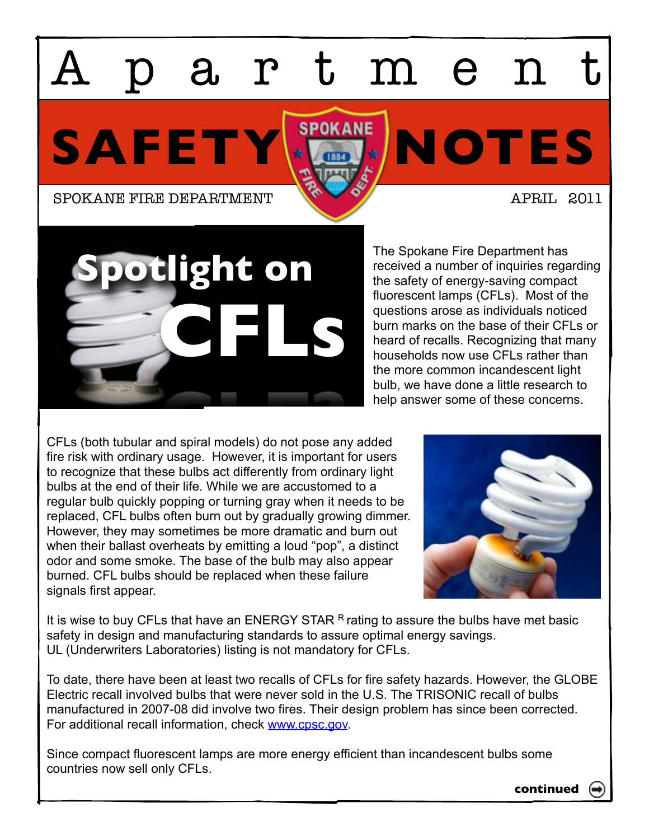## artmen

SAFETY **NOTES** 

SPOKANE FIRE DEPARTMENT APRIL 2011

**CFLs Spotlight on**

The Spokane Fire Department has received a number of inquiries regarding the safety of energy-saving compact fluorescent lamps (CFLs). Most of the questions arose as individuals noticed burn marks on the base of their CFLs or heard of recalls. Recognizing that many households now use CFLs rather than the more common incandescent light bulb, we have done a little research to help answer some of these concerns.

CFLs (both tubular and spiral models) do not pose any added fire risk with ordinary usage. However, it is important for users to recognize that these bulbs act differently from ordinary light bulbs at the end of their life. While we are accustomed to a regular bulb quickly popping or turning gray when it needs to be replaced, CFL bulbs often burn out by gradually growing dimmer. However, they may sometimes be more dramatic and burn out when their ballast overheats by emitting a loud "pop", a distinct odor and some smoke. The base of the bulb may also appear burned. CFL bulbs should be replaced when these failure signals first appear.



It is wise to buy CFLs that have an ENERGY STAR  $R$  rating to assure the bulbs have met basic safety in design and manufacturing standards to assure optimal energy savings. UL (Underwriters Laboratories) listing is not mandatory for CFLs.

To date, there have been at least two recalls of CFLs for fire safety hazards. However, the GLOBE Electric recall involved bulbs that were never sold in the U.S. The TRISONIC recall of bulbs manufactured in 2007-08 did involve two fires. Their design problem has since been corrected. For additional recall information, check [www.cpsc.gov.](http://www.cpsc.gov)

Since compact fluorescent lamps are more energy efficient than incandescent bulbs some countries now sell only CFLs.